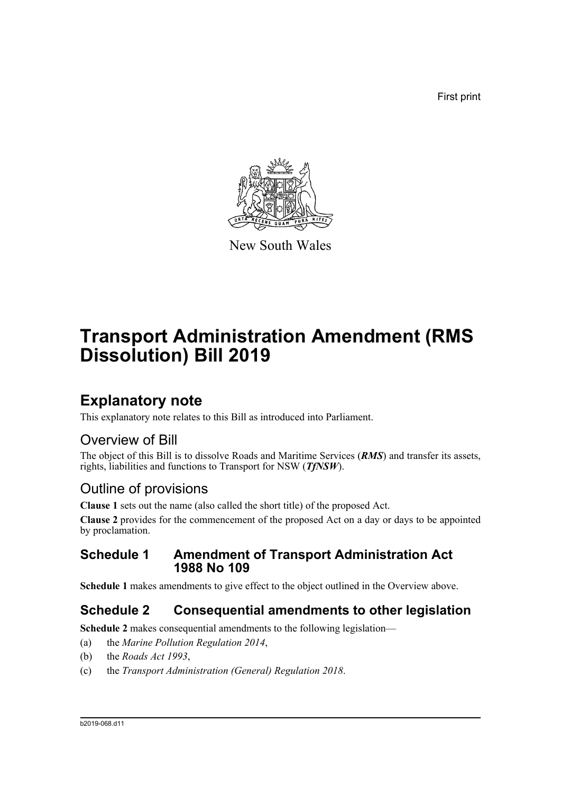First print



New South Wales

# **Transport Administration Amendment (RMS Dissolution) Bill 2019**

## **Explanatory note**

This explanatory note relates to this Bill as introduced into Parliament.

## Overview of Bill

The object of this Bill is to dissolve Roads and Maritime Services (*RMS*) and transfer its assets, rights, liabilities and functions to Transport for NSW (*TfNSW*).

## Outline of provisions

**Clause 1** sets out the name (also called the short title) of the proposed Act.

**Clause 2** provides for the commencement of the proposed Act on a day or days to be appointed by proclamation.

### **Schedule 1 Amendment of Transport Administration Act 1988 No 109**

**Schedule 1** makes amendments to give effect to the object outlined in the Overview above.

### **Schedule 2 Consequential amendments to other legislation**

**Schedule 2** makes consequential amendments to the following legislation—

- (a) the *Marine Pollution Regulation 2014*,
- (b) the *Roads Act 1993*,
- (c) the *Transport Administration (General) Regulation 2018*.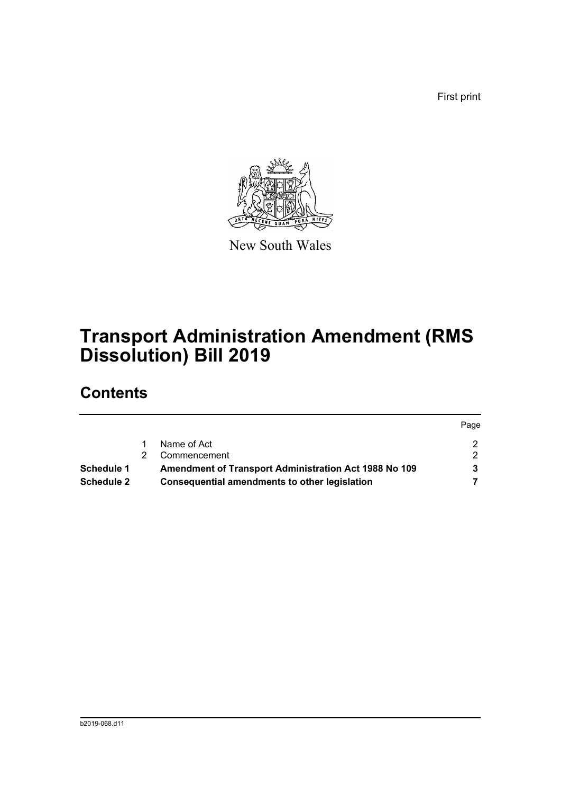First print



New South Wales

# **Transport Administration Amendment (RMS Dissolution) Bill 2019**

## **Contents**

|                   |                                                       | Page |
|-------------------|-------------------------------------------------------|------|
|                   | Name of Act                                           |      |
|                   | Commencement                                          | 2    |
| <b>Schedule 1</b> | Amendment of Transport Administration Act 1988 No 109 | 3    |
| <b>Schedule 2</b> | <b>Consequential amendments to other legislation</b>  |      |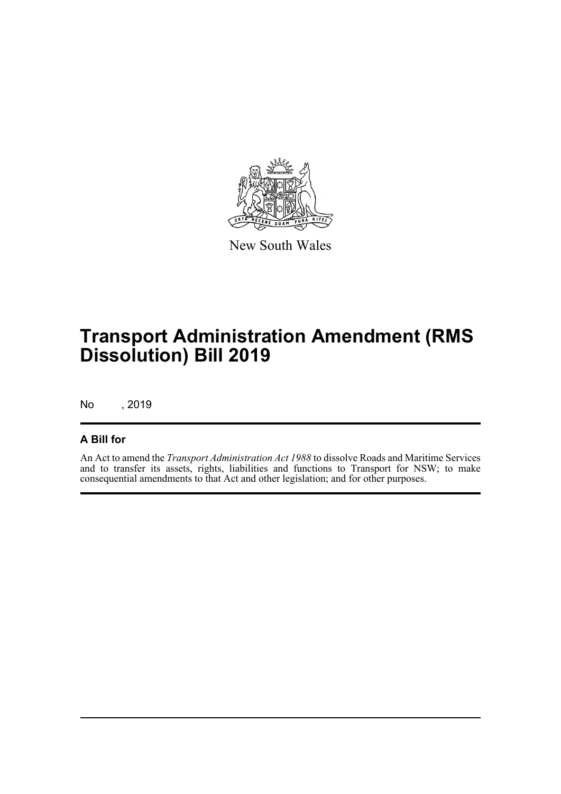

New South Wales

# **Transport Administration Amendment (RMS Dissolution) Bill 2019**

No , 2019

#### **A Bill for**

An Act to amend the *Transport Administration Act 1988* to dissolve Roads and Maritime Services and to transfer its assets, rights, liabilities and functions to Transport for NSW; to make consequential amendments to that Act and other legislation; and for other purposes.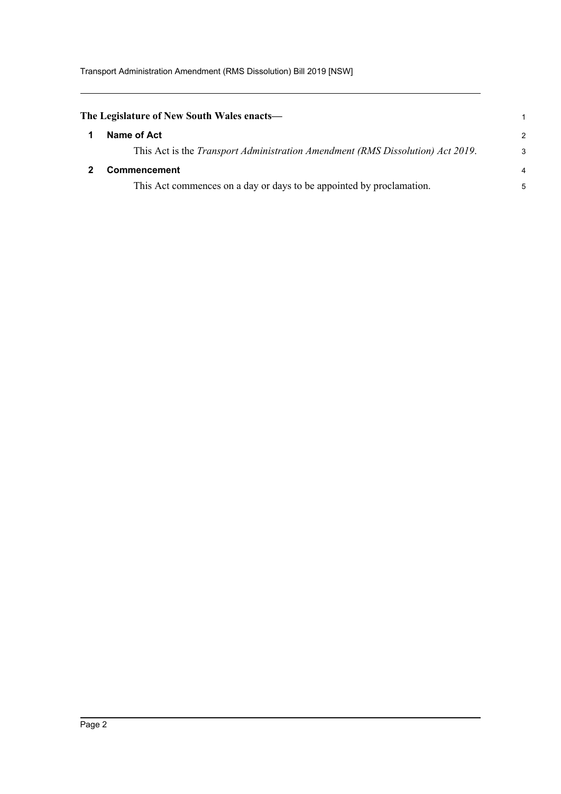<span id="page-3-1"></span><span id="page-3-0"></span>

| The Legislature of New South Wales enacts— |                                                                                        | $\mathbf 1$    |
|--------------------------------------------|----------------------------------------------------------------------------------------|----------------|
|                                            | Name of Act                                                                            | $\mathcal{P}$  |
|                                            | This Act is the <i>Transport Administration Amendment (RMS Dissolution) Act 2019</i> . | 3              |
|                                            | <b>Commencement</b>                                                                    | $\overline{4}$ |
|                                            | This Act commences on a day or days to be appointed by proclamation.                   | 5              |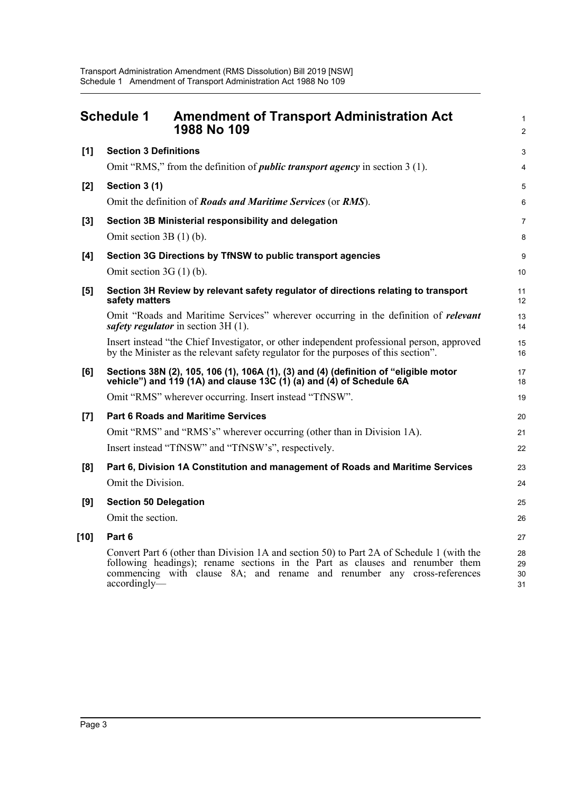<span id="page-4-0"></span>

| <b>Schedule 1</b><br><b>Amendment of Transport Administration Act</b><br>1988 No 109 |                                                                                                                                                                                                                                                                       |                      |
|--------------------------------------------------------------------------------------|-----------------------------------------------------------------------------------------------------------------------------------------------------------------------------------------------------------------------------------------------------------------------|----------------------|
| [1]                                                                                  | <b>Section 3 Definitions</b>                                                                                                                                                                                                                                          | 3                    |
|                                                                                      | Omit "RMS," from the definition of <i>public transport agency</i> in section 3 (1).                                                                                                                                                                                   | 4                    |
| $[2]$                                                                                | Section 3 (1)                                                                                                                                                                                                                                                         | 5                    |
|                                                                                      | Omit the definition of Roads and Maritime Services (or RMS).                                                                                                                                                                                                          | 6                    |
| $[3]$                                                                                | Section 3B Ministerial responsibility and delegation                                                                                                                                                                                                                  | $\overline{7}$       |
|                                                                                      | Omit section $3B(1)$ (b).                                                                                                                                                                                                                                             | 8                    |
| [4]                                                                                  | Section 3G Directions by TfNSW to public transport agencies                                                                                                                                                                                                           | 9                    |
|                                                                                      | Omit section $3G(1)$ (b).                                                                                                                                                                                                                                             | 10                   |
| [5]                                                                                  | Section 3H Review by relevant safety regulator of directions relating to transport<br>safety matters                                                                                                                                                                  | 11<br>12             |
|                                                                                      | Omit "Roads and Maritime Services" wherever occurring in the definition of relevant<br>safety regulator in section 3H (1).                                                                                                                                            | 13<br>14             |
|                                                                                      | Insert instead "the Chief Investigator, or other independent professional person, approved<br>by the Minister as the relevant safety regulator for the purposes of this section".                                                                                     | 15<br>16             |
| [6]                                                                                  | Sections 38N (2), 105, 106 (1), 106A (1), (3) and (4) (definition of "eligible motor<br>vehicle") and $\hat{1}\hat{1}\hat{9}$ (1A) and clause $\hat{1}\hat{3}\hat{C}$ (1) (a) and (4) of Schedule 6A                                                                  | 17<br>18             |
|                                                                                      | Omit "RMS" wherever occurring. Insert instead "TfNSW".                                                                                                                                                                                                                | 19                   |
| [7]                                                                                  | <b>Part 6 Roads and Maritime Services</b>                                                                                                                                                                                                                             | 20                   |
|                                                                                      | Omit "RMS" and "RMS's" wherever occurring (other than in Division 1A).                                                                                                                                                                                                | 21                   |
|                                                                                      | Insert instead "TfNSW" and "TfNSW's", respectively.                                                                                                                                                                                                                   | 22                   |
| [8]                                                                                  | Part 6, Division 1A Constitution and management of Roads and Maritime Services                                                                                                                                                                                        | 23                   |
|                                                                                      | Omit the Division.                                                                                                                                                                                                                                                    | 24                   |
| [9]                                                                                  | <b>Section 50 Delegation</b>                                                                                                                                                                                                                                          | 25                   |
|                                                                                      | Omit the section.                                                                                                                                                                                                                                                     | 26                   |
| $[10]$                                                                               | Part 6                                                                                                                                                                                                                                                                | 27                   |
|                                                                                      | Convert Part 6 (other than Division 1A and section 50) to Part 2A of Schedule 1 (with the<br>following headings); rename sections in the Part as clauses and renumber them<br>commencing with clause 8A; and rename and renumber any cross-references<br>accordingly— | 28<br>29<br>30<br>31 |
|                                                                                      |                                                                                                                                                                                                                                                                       |                      |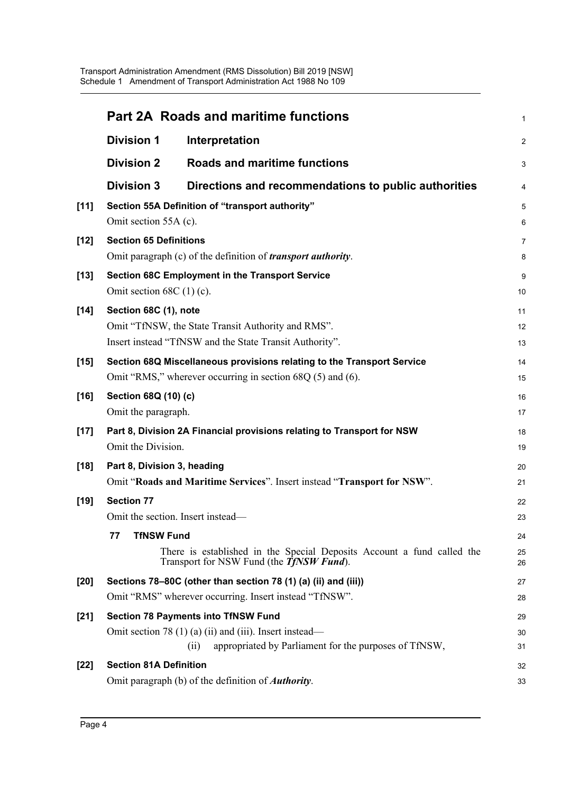|        |                               | <b>Part 2A Roads and maritime functions</b>                                                                                | 1              |
|--------|-------------------------------|----------------------------------------------------------------------------------------------------------------------------|----------------|
|        | <b>Division 1</b>             | Interpretation                                                                                                             | $\overline{a}$ |
|        | <b>Division 2</b>             | Roads and maritime functions                                                                                               | 3              |
|        | <b>Division 3</b>             | Directions and recommendations to public authorities                                                                       | 4              |
| [11]   |                               | Section 55A Definition of "transport authority"                                                                            | 5              |
|        | Omit section 55A (c).         |                                                                                                                            | 6              |
| $[12]$ | <b>Section 65 Definitions</b> |                                                                                                                            | 7              |
|        |                               | Omit paragraph (c) of the definition of <i>transport authority</i> .                                                       | 8              |
| $[13]$ |                               | Section 68C Employment in the Transport Service                                                                            | 9              |
|        | Omit section $68C(1)(c)$ .    |                                                                                                                            | 10             |
| $[14]$ | Section 68C (1), note         |                                                                                                                            | 11             |
|        |                               | Omit "TfNSW, the State Transit Authority and RMS".                                                                         | 12             |
|        |                               | Insert instead "TfNSW and the State Transit Authority".                                                                    | 13             |
| $[15]$ |                               | Section 68Q Miscellaneous provisions relating to the Transport Service                                                     | 14             |
|        |                               | Omit "RMS," wherever occurring in section $68Q(5)$ and $(6)$ .                                                             | 15             |
| $[16]$ | Section 68Q (10) (c)          |                                                                                                                            | 16             |
|        | Omit the paragraph.           |                                                                                                                            | 17             |
| $[17]$ |                               | Part 8, Division 2A Financial provisions relating to Transport for NSW                                                     | 18             |
|        | Omit the Division.            |                                                                                                                            | 19             |
| $[18]$ | Part 8, Division 3, heading   |                                                                                                                            | 20             |
|        |                               | Omit "Roads and Maritime Services". Insert instead "Transport for NSW".                                                    | 21             |
| $[19]$ | <b>Section 77</b>             |                                                                                                                            | 22             |
|        |                               | Omit the section. Insert instead-                                                                                          | 23             |
|        | <b>TfNSW Fund</b><br>77       |                                                                                                                            | 24             |
|        |                               | There is established in the Special Deposits Account a fund called the<br>Transport for NSW Fund (the <i>TfNSW Fund</i> ). | 25<br>26       |
| $[20]$ |                               | Sections 78-80C (other than section 78 (1) (a) (ii) and (iii))                                                             | 27             |
|        |                               | Omit "RMS" wherever occurring. Insert instead "TfNSW".                                                                     | 28             |
| $[21]$ |                               | <b>Section 78 Payments into TfNSW Fund</b>                                                                                 | 29             |
|        |                               | Omit section 78 $(1)$ (a) $(ii)$ and $(iii)$ . Insert instead—                                                             | 30             |
|        |                               | appropriated by Parliament for the purposes of TfNSW,<br>(i)                                                               | 31             |
| $[22]$ | <b>Section 81A Definition</b> |                                                                                                                            | 32             |
|        |                               | Omit paragraph (b) of the definition of <i>Authority</i> .                                                                 | 33             |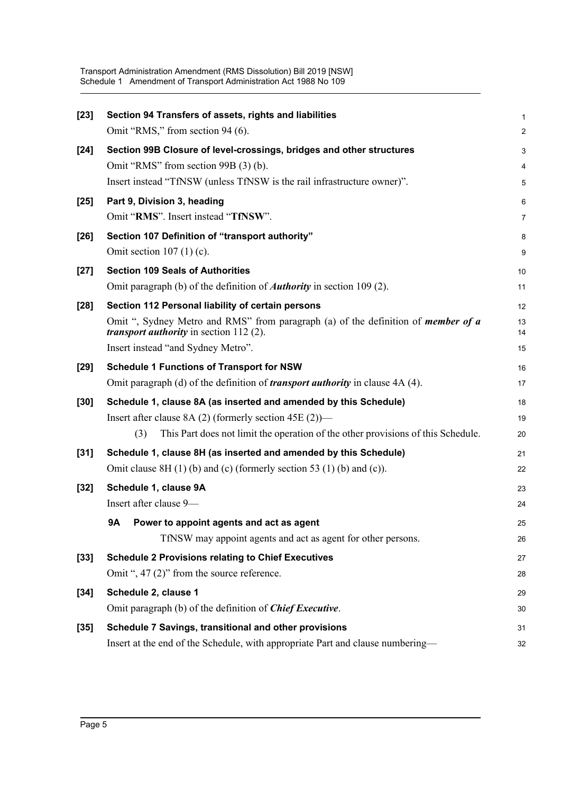| $[23]$ | Section 94 Transfers of assets, rights and liabilities                                                                                       | 1              |
|--------|----------------------------------------------------------------------------------------------------------------------------------------------|----------------|
|        | Omit "RMS," from section 94 (6).                                                                                                             | $\overline{a}$ |
| $[24]$ | Section 99B Closure of level-crossings, bridges and other structures                                                                         | 3              |
|        | Omit "RMS" from section 99B (3) (b).                                                                                                         | 4              |
|        | Insert instead "TfNSW (unless TfNSW is the rail infrastructure owner)".                                                                      | 5              |
| $[25]$ | Part 9, Division 3, heading                                                                                                                  | 6              |
|        | Omit "RMS". Insert instead "TfNSW".                                                                                                          | 7              |
| $[26]$ | Section 107 Definition of "transport authority"                                                                                              | 8              |
|        | Omit section $107(1)(c)$ .                                                                                                                   | 9              |
| $[27]$ | <b>Section 109 Seals of Authorities</b>                                                                                                      | 10             |
|        | Omit paragraph (b) of the definition of <i>Authority</i> in section 109 (2).                                                                 | 11             |
| $[28]$ | Section 112 Personal liability of certain persons                                                                                            | 12             |
|        | Omit ", Sydney Metro and RMS" from paragraph (a) of the definition of <i>member of a</i><br><i>transport authority</i> in section $112(2)$ . | 13<br>14       |
|        | Insert instead "and Sydney Metro".                                                                                                           | 15             |
| $[29]$ | <b>Schedule 1 Functions of Transport for NSW</b>                                                                                             | 16             |
|        | Omit paragraph (d) of the definition of <i>transport authority</i> in clause 4A (4).                                                         | 17             |
| $[30]$ | Schedule 1, clause 8A (as inserted and amended by this Schedule)                                                                             | 18             |
|        | Insert after clause 8A $(2)$ (formerly section 45E $(2)$ )—                                                                                  | 19             |
|        | This Part does not limit the operation of the other provisions of this Schedule.<br>(3)                                                      | 20             |
| $[31]$ | Schedule 1, clause 8H (as inserted and amended by this Schedule)                                                                             | 21             |
|        | Omit clause $8H(1)$ (b) and (c) (formerly section 53 (1) (b) and (c)).                                                                       | 22             |
| $[32]$ | Schedule 1, clause 9A                                                                                                                        | 23             |
|        | Insert after clause 9-                                                                                                                       | 24             |
|        | <b>9A</b><br>Power to appoint agents and act as agent                                                                                        | 25             |
|        | TfNSW may appoint agents and act as agent for other persons.                                                                                 | 26             |
| $[33]$ | <b>Schedule 2 Provisions relating to Chief Executives</b>                                                                                    | 27             |
|        | Omit ", 47 (2)" from the source reference.                                                                                                   | 28             |
| $[34]$ | Schedule 2, clause 1                                                                                                                         | 29             |
|        | Omit paragraph (b) of the definition of <b>Chief Executive</b> .                                                                             | 30             |
| $[35]$ | Schedule 7 Savings, transitional and other provisions                                                                                        | 31             |
|        | Insert at the end of the Schedule, with appropriate Part and clause numbering-                                                               | 32             |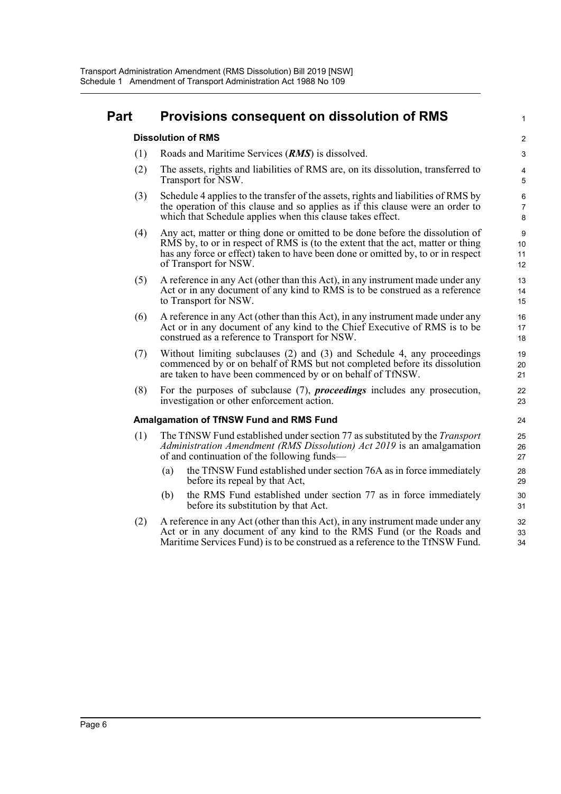#### **Part Provisions consequent on dissolution of RMS**

#### **Dissolution of RMS**

- (1) Roads and Maritime Services (*RMS*) is dissolved.
- (2) The assets, rights and liabilities of RMS are, on its dissolution, transferred to Transport for NSW.

1

- (3) Schedule 4 applies to the transfer of the assets, rights and liabilities of RMS by the operation of this clause and so applies as if this clause were an order to which that Schedule applies when this clause takes effect.
- (4) Any act, matter or thing done or omitted to be done before the dissolution of RMS by, to or in respect of RMS is (to the extent that the act, matter or thing has any force or effect) taken to have been done or omitted by, to or in respect of Transport for NSW.
- (5) A reference in any Act (other than this Act), in any instrument made under any Act or in any document of any kind to RMS is to be construed as a reference to Transport for NSW.
- (6) A reference in any Act (other than this Act), in any instrument made under any Act or in any document of any kind to the Chief Executive of RMS is to be construed as a reference to Transport for NSW.
- (7) Without limiting subclauses (2) and (3) and Schedule 4, any proceedings commenced by or on behalf of RMS but not completed before its dissolution are taken to have been commenced by or on behalf of TfNSW.
- (8) For the purposes of subclause (7), *proceedings* includes any prosecution, investigation or other enforcement action.

#### **Amalgamation of TfNSW Fund and RMS Fund**

- (1) The TfNSW Fund established under section 77 as substituted by the *Transport Administration Amendment (RMS Dissolution) Act 2019* is an amalgamation of and continuation of the following funds—
	- (a) the TfNSW Fund established under section 76A as in force immediately before its repeal by that Act,
	- (b) the RMS Fund established under section 77 as in force immediately before its substitution by that Act.
- (2) A reference in any Act (other than this Act), in any instrument made under any Act or in any document of any kind to the RMS Fund (or the Roads and Maritime Services Fund) is to be construed as a reference to the TfNSW Fund. 32 33 34